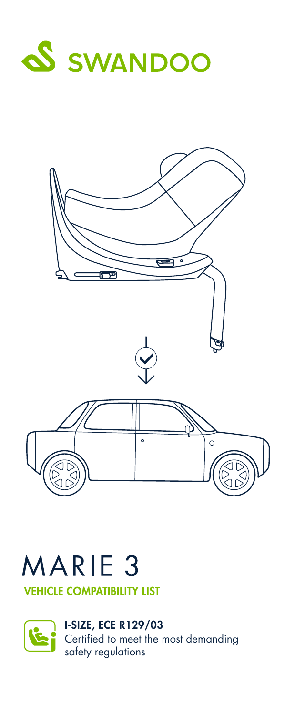



# MARIE<sub>3</sub>

VEHICLE COMPATIBILITY LIST

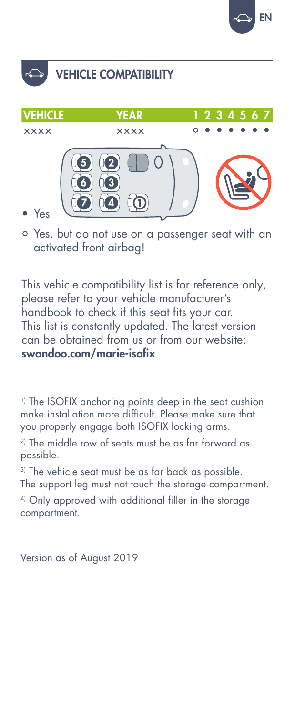





• Yes, but do not use on a passenger seat with an activated front airbag!

This vehicle compatibility list is for reference only, please refer to your vehicle manufacturer's handbook to check if this seat fits your car. This list is constantly updated. The latest version can be obtained from us or from our website: swandoo.com/marie-isofix

<sup>1)</sup> The ISOFIX anchoring points deep in the seat cushion make installation more difficult. Please make sure that you properly engage both ISOFIX locking arms.

2) The middle row of seats must be as far forward as possible.

<sup>3)</sup> The vehicle seat must be as far back as possible. The support leg must not touch the storage compartment.

4) Only approved with additional filler in the storage compartment.

Version as of August 2019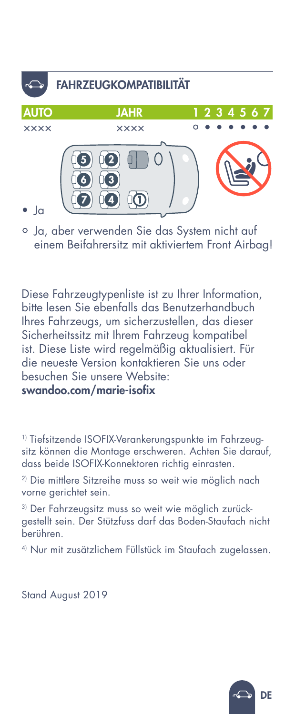# 7 14 14 5) (12 6 4 3 • Ja AUTO JAHR 1 2 3 4 5 6 7 ×××× ×××× • • • • • • • FAHRZEUGKOMPATIBILITÄT

- 
- Ja, aber verwenden Sie das System nicht auf einem Beifahrersitz mit aktiviertem Front Airbag!

Diese Fahrzeugtypenliste ist zu Ihrer Information, bitte lesen Sie ebenfalls das Benutzerhandbuch Ihres Fahrzeugs, um sicherzustellen, das dieser Sicherheitssitz mit Ihrem Fahrzeug kompatibel ist. Diese Liste wird regelmäßig aktualisiert. Für die neueste Version kontaktieren Sie uns oder besuchen Sie unsere Website: swandoo.com/marie-isofix

1) Tiefsitzende ISOFIX-Verankerungspunkte im Fahrzeugsitz können die Montage erschweren. Achten Sie darauf, dass beide ISOFIX-Konnektoren richtig einrasten.

<sup>2)</sup> Die mittlere Sitzreihe muss so weit wie möglich nach vorne gerichtet sein.

3) Der Fahrzeugsitz muss so weit wie möglich zurückgestellt sein. Der Stützfuss darf das Boden-Staufach nicht berühren.

4) Nur mit zusätzlichem Füllstück im Staufach zugelassen.

Stand August 2019

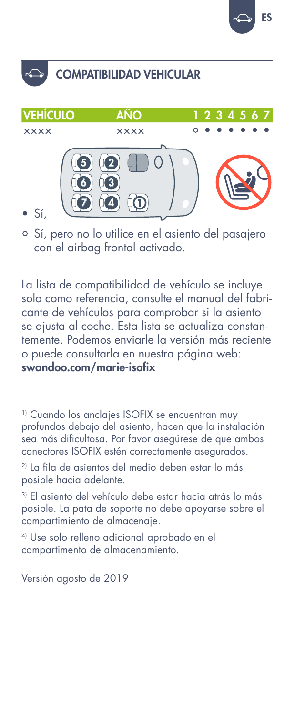

### COMPATIBILIDAD VEHICULAR



• Sí, pero no lo utilice en el asiento del pasajero con el airbag frontal activado.

La lista de compatibilidad de vehículo se incluye solo como referencia, consulte el manual del fabricante de vehículos para comprobar si la asiento se ajusta al coche. Esta lista se actualiza constantemente. Podemos enviarle la versión más reciente o puede consultarla en nuestra página web: swandoo.com/marie-isofix

<sup>1)</sup> Cuando los anclajes ISOFIX se encuentran muy profundos debajo del asiento, hacen que la instalación sea más dificultosa. Por favor asegúrese de que ambos conectores ISOFIX estén correctamente asegurados.

2) La fila de asientos del medio deben estar lo más posible hacia adelante.

3) El asiento del vehículo debe estar hacia atrás lo más posible. La pata de soporte no debe apoyarse sobre el compartimiento de almacenaje.

4) Use solo relleno adicional aprobado en el compartimento de almacenamiento.

Versión agosto de 2019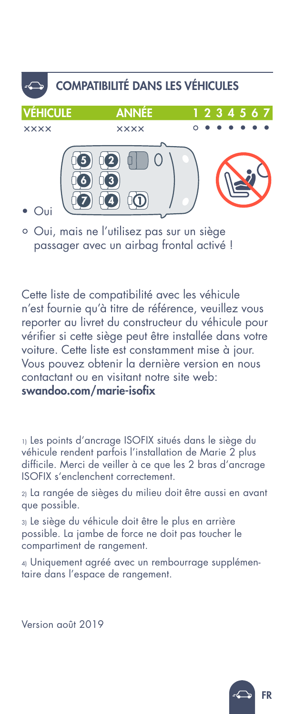

• Oui, mais ne l'utilisez pas sur un siège passager avec un airbag frontal activé !

Cette liste de compatibilité avec les véhicule n'est fournie qu'à titre de référence, veuillez vous reporter au livret du constructeur du véhicule pour vérifier si cette siège peut être installée dans votre voiture. Cette liste est constamment mise à jour. Vous pouvez obtenir la dernière version en nous contactant ou en visitant notre site web: swandoo.com/marie-isofix

1) Les points d'ancrage ISOFIX situés dans le siège du véhicule rendent parfois l'installation de Marie 2 plus difficile. Merci de veiller à ce que les 2 bras d'ancrage ISOFIX s'enclenchent correctement.

2) La rangée de sièges du milieu doit être aussi en avant que possible.

3) Le siège du véhicule doit être le plus en arrière possible. La jambe de force ne doit pas toucher le compartiment de rangement.

4) Uniquement agréé avec un rembourrage supplémentaire dans l'espace de rangement.

Version août 2019

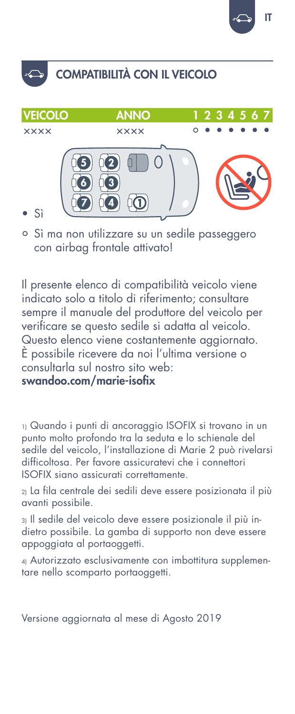

#### COMPATIBILITÀ CON IL VEICOLO



• Sì ma non utilizzare su un sedile passeggero con airbag frontale attivato!

Il presente elenco di compatibilità veicolo viene indicato solo a titolo di riferimento; consultare sempre il manuale del produttore del veicolo per verificare se questo sedile si adatta al veicolo. Questo elenco viene costantemente aggiornato. È possibile ricevere da noi l'ultima versione o consultarla sul nostro sito web:

swandoo.com/marie-isofix

1) Quando i punti di ancoraggio ISOFIX si trovano in un punto molto profondo tra la seduta e lo schienale del sedile del veicolo, l'installazione di Marie 2 può rivelarsi difficoltosa. Per favore assicuratevi che i connettori ISOFIX siano assicurati correttamente.

2) La fila centrale dei sedili deve essere posizionata il più avanti possibile.

3) Il sedile del veicolo deve essere posizionale il più indietro possibile. La gamba di supporto non deve essere appoggiata al portaoggetti.

4) Autorizzato esclusivamente con imbottitura supplementare nello scomparto portaoggetti.

Versione aggiornata al mese di Agosto 2019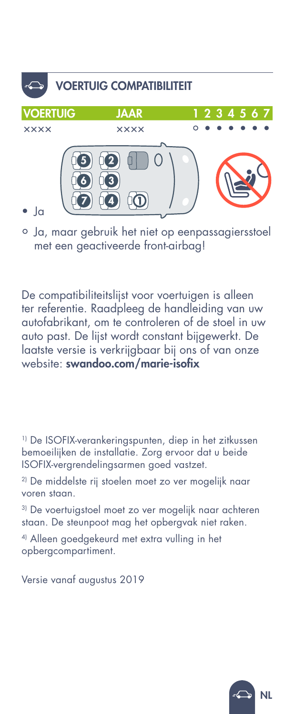

• Ja, maar gebruik het niet op eenpassagiersstoel met een geactiveerde front-airbag!

De compatibiliteitslijst voor voertuigen is alleen ter referentie. Raadpleeg de handleiding van uw autofabrikant, om te controleren of de stoel in uw auto past. De lijst wordt constant bijgewerkt. De laatste versie is verkrijgbaar bij ons of van onze website: swandoo.com/marie-isofix

1) De ISOFIX-verankeringspunten, diep in het zitkussen bemoeilijken de installatie. Zorg ervoor dat u beide ISOFIX-vergrendelingsarmen goed vastzet.

2) De middelste rij stoelen moet zo ver mogelijk naar voren staan.

3) De voertuigstoel moet zo ver mogelijk naar achteren staan. De steunpoot mag het opbergvak niet raken.

4) Alleen goedgekeurd met extra vulling in het opbergcompartiment.

Versie vanaf augustus 2019

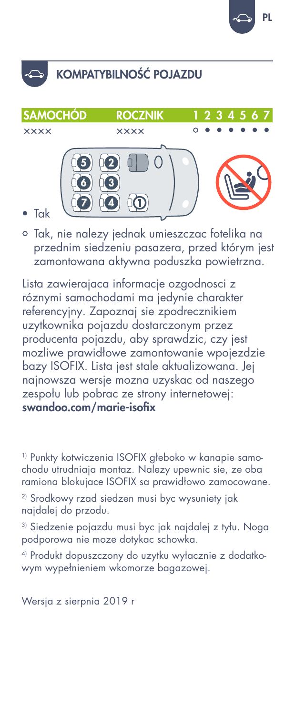

## KOMPATYBILNOŚĆ POJAZDU



• Tak, nie nalezy jednak umieszczac fotelika na przednim siedzeniu pasazera, przed którym jest zamontowana aktywna poduszka powietrzna.

Lista zawierajaca informacje ozgodnosci z róznymi samochodami ma jedynie charakter referencyjny. Zapoznaj sie zpodrecznikiem uzytkownika pojazdu dostarczonym przez producenta pojazdu, aby sprawdzic, czy jest mozliwe prawidłowe zamontowanie wpojezdzie bazy ISOFIX. Lista jest stale aktualizowana. Jej najnowsza wersje mozna uzyskac od naszego zespołu lub pobrac ze strony internetowej: swandoo.com/marie-isofix

1) Punkty kotwiczenia ISOFIX głeboko w kanapie samochodu utrudniaja montaz. Nalezy upewnic sie, ze oba ramiona blokujace ISOFIX sa prawidłowo zamocowane.

2) Srodkowy rzad siedzen musi byc wysuniety jak najdalej do przodu.

3) Siedzenie pojazdu musi byc jak najdalej z tyłu. Noga podporowa nie moze dotykac schowka.

4) Produkt dopuszczony do uzytku wyłacznie z dodatkowym wypełnieniem wkomorze bagazowej.

Wersja z sierpnia 2019 r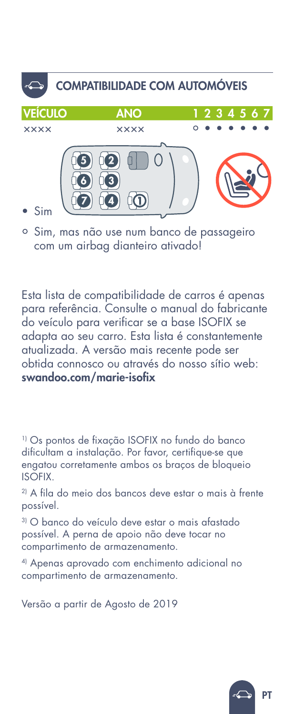

• Sim, mas não use num banco de passageiro com um airbag dianteiro ativado!

Esta lista de compatibilidade de carros é apenas para referência. Consulte o manual do fabricante do veículo para verificar se a base ISOFIX se adapta ao seu carro. Esta lista é constantemente atualizada. A versão mais recente pode ser obtida connosco ou através do nosso sítio web: swandoo.com/marie-isofix

1) Os pontos de fixação ISOFIX no fundo do banco dificultam a instalação. Por favor, certifique-se que engatou corretamente ambos os braços de bloqueio ISOFIX.

2) A fila do meio dos bancos deve estar o mais à frente possível.

3) O banco do veículo deve estar o mais afastado possível. A perna de apoio não deve tocar no compartimento de armazenamento.

4) Apenas aprovado com enchimento adicional no compartimento de armazenamento.

Versão a partir de Agosto de 2019

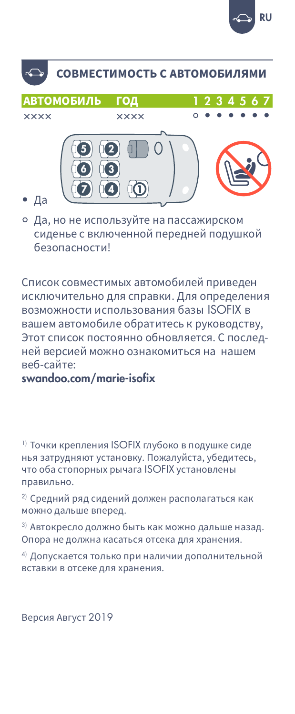

#### СОВМЕСТИМОСТЬ С АВТОМОБИЛЯМИ

**АВТОМОБИЛЬ** ГОД **xxxx xxxx** 

#### Да

• Да, но не используйте на пассажирском сиденье с включенной передней подушкой безопасности!

Список совместимых автомобилей приведен исключительно для справки. Для определения возможности использования базы ISOFIX в вашем автомобиле обратитесь к руководству, Этот список постоянно обновляется. С последней версией можно ознакомиться на нашем веб-сайте:

swandoo.com/marie-isofix

<sup>1)</sup> Точки крепления ISOFIX глубоко в подушке сиде нья затрудняют установку. Пожалуйста, убедитесь, что оба стопорных рычага ISOFIX установлены правильно.

<sup>2)</sup> Средний ряд сидений должен располагаться как можно дальше вперед.

3) Автокресло должно быть как можно дальше назад. Опора не должна касаться отсека для хранения.

4) Допускается только при наличии дополнительной вставки в отсеке для хранения.

Версия Август 2019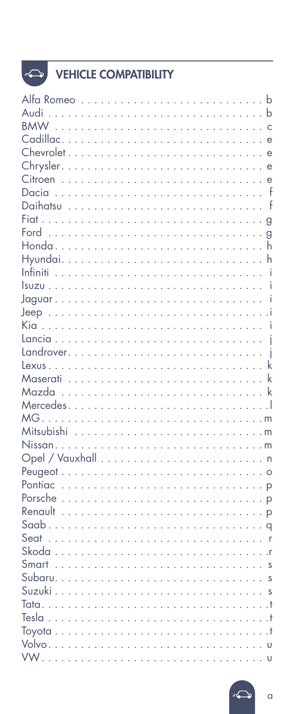# $\Leftrightarrow$

| <b>VEHICLE COMPATIBILITY</b> |
|------------------------------|

| Audi                                                                                                                         |  |              |
|------------------------------------------------------------------------------------------------------------------------------|--|--------------|
| <b>BMW</b>                                                                                                                   |  |              |
|                                                                                                                              |  | $\epsilon$   |
|                                                                                                                              |  |              |
|                                                                                                                              |  |              |
|                                                                                                                              |  |              |
|                                                                                                                              |  | - f          |
|                                                                                                                              |  | $\mathsf{f}$ |
|                                                                                                                              |  |              |
|                                                                                                                              |  | $\mathbf{q}$ |
|                                                                                                                              |  | $\mathsf{h}$ |
|                                                                                                                              |  | h            |
|                                                                                                                              |  | -i           |
|                                                                                                                              |  | Ť            |
|                                                                                                                              |  |              |
|                                                                                                                              |  |              |
|                                                                                                                              |  | - i          |
|                                                                                                                              |  |              |
|                                                                                                                              |  |              |
|                                                                                                                              |  | k            |
|                                                                                                                              |  |              |
|                                                                                                                              |  |              |
|                                                                                                                              |  |              |
|                                                                                                                              |  |              |
|                                                                                                                              |  |              |
|                                                                                                                              |  |              |
|                                                                                                                              |  |              |
|                                                                                                                              |  |              |
|                                                                                                                              |  |              |
|                                                                                                                              |  |              |
|                                                                                                                              |  |              |
|                                                                                                                              |  |              |
|                                                                                                                              |  |              |
|                                                                                                                              |  |              |
|                                                                                                                              |  |              |
|                                                                                                                              |  |              |
|                                                                                                                              |  |              |
|                                                                                                                              |  |              |
|                                                                                                                              |  | $+$          |
|                                                                                                                              |  | $+$          |
|                                                                                                                              |  |              |
| <b>VW</b><br>the contract of the contract of the contract of the contract of the contract of the contract of the contract of |  |              |

 $\alpha$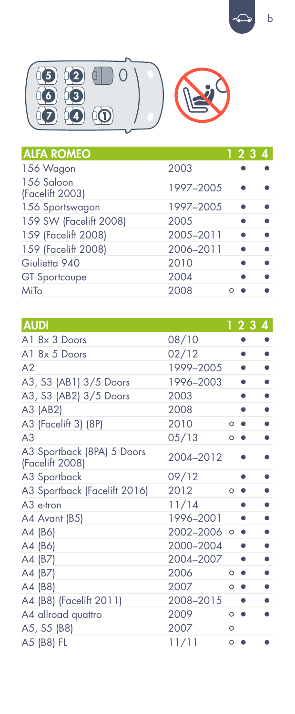$\mathsf{b}$ 



| <b>ALFA ROMEO</b>             |           | 1234 |
|-------------------------------|-----------|------|
| 156 Wagon                     | 2003      |      |
| 156 Saloon<br>(Facelift 2003) | 1997-2005 |      |
| 156 Sportswagon               | 1997-2005 |      |
| 159 SW (Facelift 2008)        | 2005      |      |
| 159 (Facelift 2008)           | 2005-2011 |      |
| 159 (Facelift 2008)           | 2006-2011 |      |
| Giulietta 940                 | 2010      |      |
| <b>GT</b> Sportcoupe          | 2004      |      |
| MiTo                          | 2008      |      |

| <b>AUDI</b>                                   |             |         | -23       | 4         |
|-----------------------------------------------|-------------|---------|-----------|-----------|
| A1 8x 3 Doors                                 | 08/10       |         |           |           |
| A1 8x 5 Doors                                 | 02/12       |         |           |           |
| A <sub>2</sub>                                | 1999-2005   |         |           |           |
| A3, S3 (AB1) 3/5 Doors                        | 1996-2003   |         |           |           |
| A3, S3 (AB2) 3/5 Doors                        | 2003        |         |           |           |
| A3 (AB2)                                      | 2008        |         |           |           |
| A3 (Facelift 3) (8P)                          | 2010        | $\circ$ |           | ٠         |
| A <sub>3</sub>                                | 05/13       | $\circ$ |           |           |
| A3 Sportback (8PA) 5 Doors<br>(Facelift 2008) | 2004-2012   |         |           |           |
| A3 Sportback                                  | 09/12       |         |           |           |
| A3 Sportback (Facelift 2016)                  | 2012        | $\circ$ |           |           |
| $A3$ e-tron                                   | 11/14       |         |           |           |
| A4 Avant (B5)                                 | 1996-2001   |         |           |           |
| A4 (B6)                                       | 2002-2006 。 |         | $\bullet$ |           |
| A4 (B6)                                       | 2000-2004   |         |           | $\bullet$ |
| A4 (B7)                                       | 2004-2007   |         |           |           |
| A4 (B7)                                       | 2006        | O       |           |           |
| A4 (B8)                                       | 2007        | $\circ$ |           |           |
| A4 (B8) (Facelift 2011)                       | 2008-2015   |         |           |           |
| A4 allroad quattro                            | 2009        | $\circ$ | ٠         |           |
| A5, S5 (B8)                                   | 2007        | $\circ$ |           |           |
| A5 (B8) FL                                    | 11/11       | $\circ$ |           |           |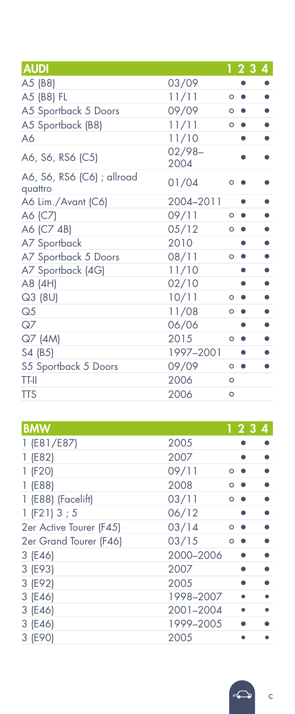| <b>AUDI</b>                           |                  | 1234    |  |
|---------------------------------------|------------------|---------|--|
| A5 (B8)                               | 03/09            |         |  |
| A5 (B8) FL                            | 11/11            | $\circ$ |  |
| A5 Sportback 5 Doors                  | 09/09            | $\circ$ |  |
| A5 Sportback (B8)                     | 11/11            | $\circ$ |  |
| A6                                    | 11/10            |         |  |
| A6, S6, RS6 (C5)                      | $02/98-$<br>2004 |         |  |
| A6, S6, RS6 (C6) ; allroad<br>quattro | 01/04            | O       |  |
| A6 Lim./Avant (C6)                    | 2004-2011        |         |  |
| A6 (C7)                               | 09/11            | $\circ$ |  |
| A6 (C7 4B)                            | 05/12            | $\circ$ |  |
| A7 Sportback                          | 2010             |         |  |
| A7 Sportback 5 Doors                  | 08/11            | $\circ$ |  |
| A7 Sportback (4G)                     | 11/10            |         |  |
| A8 (4H)                               | 02/10            |         |  |
| Q3 (8U)                               | 10/11            | O       |  |
| Q <sub>5</sub>                        | 11/08            | $\circ$ |  |
| QZ                                    | 06/06            |         |  |
| Q7 (4M)                               | 2015             | $\circ$ |  |
| S4 (B5)                               | 1997-2001        |         |  |
| S5 Sportback 5 Doors                  | 09/09            | $\circ$ |  |
| <b>TT-II</b>                          | 2006             | $\circ$ |  |
| <b>TTS</b>                            | 2006             | $\circ$ |  |

| <b>BMW</b>              |           |         | 1234 |
|-------------------------|-----------|---------|------|
| 1 (E81/E87)             | 2005      |         |      |
| 1(E82)                  | 2007      |         |      |
| 1 (F20)                 | 09/11     | O       |      |
| 1(E88)                  | 2008      | Ο       |      |
| 1 (E88) (Facelift)      | 03/11     | $\circ$ |      |
| 1 (F21) 3 ; 5           | 06/12     |         |      |
| 2er Active Tourer (F45) | 03/14     | O       |      |
| 2er Grand Tourer (F46)  | 03/15     | $\circ$ |      |
| 3 (E46)                 | 2000-2006 |         |      |
| 3 (E93)                 | 2007      |         |      |
| 3 (E92)                 | 2005      |         |      |
| 3 (E46)                 | 1998-2007 |         |      |
| 3 (E46)                 | 2001-2004 |         |      |
| 3 (E46)                 | 1999-2005 |         |      |
| 3 (E90)                 | 2005      |         |      |

 $\mathsf{C}$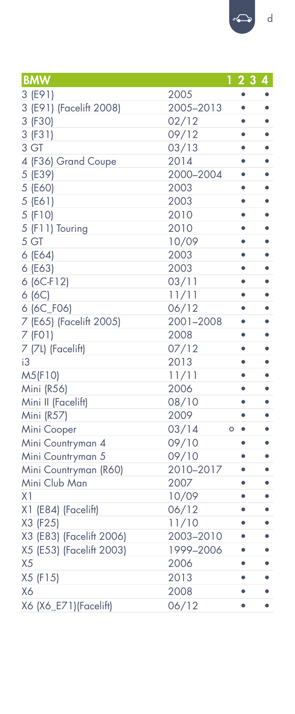| <b>BMW</b>               | 1234                          |   |
|--------------------------|-------------------------------|---|
| 3 (E91)                  | 2005                          |   |
| 3 (E91) (Facelift 2008)  | 2005-2013<br>٠                |   |
| 3 (F30)                  | 02/12                         |   |
| 3 (F31)                  | 09/12<br>٠                    |   |
| 3 GT                     | 03/13                         |   |
| 4 (F36) Grand Coupe      | 2014<br>٠                     | ٠ |
| 5 (E39)                  | 2000-2004<br>٠                | ٠ |
| 5 (E60)                  | 2003<br>٠                     | ٠ |
| 5 (E61)                  | 2003<br>٠                     | ٠ |
| 5 (F10)                  | 2010<br>٠                     |   |
| 5 (F11) Touring          | 2010<br>٠                     | ٠ |
| 5 GT                     | 10/09<br>۰                    | ٠ |
| 6 (E64)                  | 2003<br>٠                     | ٠ |
| 6 (E63)                  | 2003<br>٠                     | ٠ |
| 6 (6C-F12)               | 03/11<br>٠                    |   |
| 6(6C)                    | 11/11<br>٠                    |   |
| 6 (6C_F06)               | 06/12                         |   |
| 7 (E65) (Facelift 2005)  | 2001-2008<br>۰                | ٠ |
| 7 (FO1)                  | 2008<br>٠                     | ٠ |
| 7 (7L) (Facelift)        | 07/12<br>٠                    | ٠ |
| iЗ                       | 2013<br>٠                     | ٠ |
| M5(F10)                  | 11/11<br>٠                    | ٠ |
| Mini (R56)               | 2006                          |   |
| Mini II (Facelift)       | 08/10<br>۰                    | ٠ |
| Mini (R57)               | 2009<br>٠                     | ٠ |
| Mini Cooper              | 03/14<br>$\circ$<br>$\bullet$ | ٠ |
| Mini Countryman 4        | 09/10<br>٠                    |   |
| Mini Countryman 5        | 09/10                         |   |
| Mini Countryman (R60)    | 2010-2017<br>٠                |   |
| Mini Club Man            | 2007<br>٠                     | ٠ |
| X <sub>1</sub>           | 10/09<br>٠                    | ٠ |
| X1 (E84) (Facelift)      | 06/12<br>٠                    | ٠ |
| X3 (F25)                 | 11/10<br>٠                    | ٠ |
| X3 (E83) (Facelift 2006) | 2003-2010<br>٠                |   |
| X5 (E53) (Facelift 2003) | 1999-2006<br>٠                |   |
| X <sub>5</sub>           | 2006<br>٠                     |   |
| X5 (F15)                 | 2013<br>٠                     | ٠ |
| X6                       | 2008<br>۰                     | ٠ |
| X6 (X6_E71)(Facelift)    | 06/12<br>٠                    | ٠ |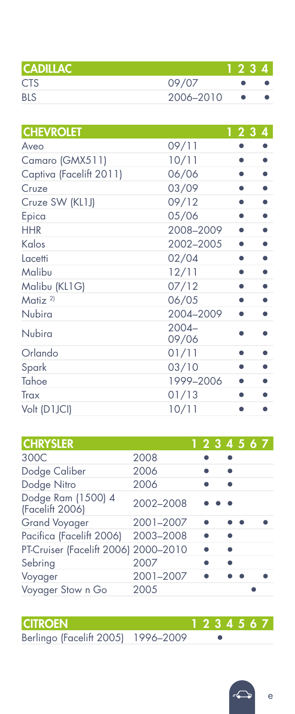| <b>CADILLAC</b> |           | 1234 |  |
|-----------------|-----------|------|--|
| <b>CTS</b>      | 09/07     |      |  |
| <b>BLS</b>      | 2006-2010 |      |  |

| <b>CHEVROLET</b>        |                   | 123 | 4 |
|-------------------------|-------------------|-----|---|
| Aveo                    | 09/11             |     |   |
| Camaro (GMX511)         | 10/11             |     |   |
| Captiva (Facelift 2011) | 06/06             |     |   |
| Cruze                   | 03/09             |     |   |
| Cruze SW (KL1J)         | 09/12             |     |   |
| Epica                   | 05/06             |     |   |
| <b>HHR</b>              | 2008-2009         |     |   |
| Kalos                   | 2002-2005         |     |   |
| Lacetti                 | 02/04             |     |   |
| Malibu                  | 12/11             |     |   |
| Malibu (KL1G)           | 07/12             |     |   |
| Matiz <sup>2)</sup>     | 06/05             |     |   |
| Nubira                  | 2004-2009         |     |   |
| Nubira                  | $2004 -$<br>09/06 |     |   |
| Orlando                 | 01/11             |     |   |
| Spark                   | 03/10             |     |   |
| Tahoe                   | 1999-2006         |     |   |
| Trax                    | 01/13             |     |   |
| Volt (D1JCI)            | 10/11             |     |   |
|                         |                   |     |   |

| <b>CHRYSLER</b>                       |           | 1234567 |  |  |
|---------------------------------------|-----------|---------|--|--|
| 300C                                  | 2008      |         |  |  |
| Dodge Caliber                         | 2006      |         |  |  |
| Dodge Nitro                           | 2006      |         |  |  |
| Dodge Ram (1500) 4<br>(Facelift 2006) | 2002-2008 |         |  |  |
| <b>Grand Voyager</b>                  | 2001-2007 |         |  |  |
| Pacifica (Facelift 2006)              | 2003-2008 |         |  |  |
| PT-Cruiser (Facelift 2006) 2000-2010  |           |         |  |  |
| Sebring                               | 2007      |         |  |  |
| Voyager                               | 2001-2007 |         |  |  |
| Voyager Stow n Go                     | 2005      |         |  |  |

#### CITROEN 1 2 3 4 5 6 7

Berlingo (Facelift 2005) 1996–2009 •

e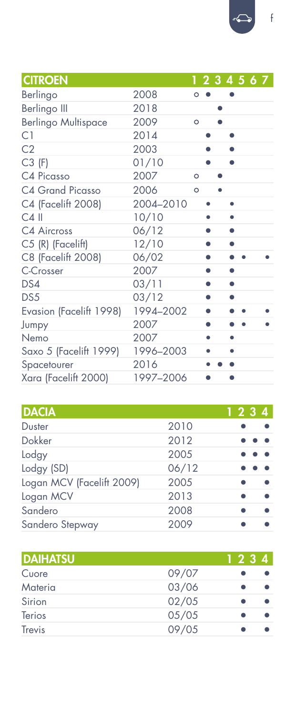| <b>CITROEN</b>             |           |         |   |   | 1234567 |  |  |
|----------------------------|-----------|---------|---|---|---------|--|--|
| Berlingo                   | 2008      | $\circ$ |   |   |         |  |  |
| Berlingo III               | 2018      |         |   | ٠ |         |  |  |
| <b>Berlingo Multispace</b> | 2009      | $\circ$ |   |   |         |  |  |
| C1                         | 2014      |         |   |   |         |  |  |
| C <sub>2</sub>             | 2003      |         |   |   |         |  |  |
| $C3$ (F)                   | 01/10     |         |   |   |         |  |  |
| C4 Picasso                 | 2007      | $\circ$ |   |   |         |  |  |
| C4 Grand Picasso           | 2006      | $\circ$ |   |   |         |  |  |
| C4 (Facelift 2008)         | 2004-2010 |         |   |   | ٠       |  |  |
| $C4$ II                    | 10/10     |         |   |   | ٠       |  |  |
| C4 Aircross                | 06/12     |         | ۰ |   |         |  |  |
| C5 (R) (Facelift)          | 12/10     |         | ۰ |   |         |  |  |
| C8 (Facelift 2008)         | 06/02     |         |   |   |         |  |  |
| C-Crosser                  | 2007      |         | ۰ |   | ٠       |  |  |
| DS4                        | 03/11     |         | ۰ |   | ۰       |  |  |
| DS5                        | 03/12     |         | ۰ |   |         |  |  |
| Evasion (Facelift 1998)    | 1994-2002 |         | ۰ |   |         |  |  |
| Jumpy                      | 2007      |         |   |   |         |  |  |
| Nemo                       | 2007      |         |   |   |         |  |  |
| Saxo 5 (Facelift 1999)     | 1996-2003 |         |   |   |         |  |  |

| <b>DACIA</b>              |       | 1234 |
|---------------------------|-------|------|
| Duster                    | 2010  |      |
| Dokker                    | 2012  |      |
| Lodgy                     | 2005  |      |
| Lodgy (SD)                | 06/12 |      |
| Logan MCV (Facelift 2009) | 2005  |      |
| Logan MCV                 | 2013  |      |
| Sandero                   | 2008  |      |
| Sandero Stepway           | 2009  |      |

Spacetourer 2016 • • • Xara (Facelift 2000) 1997–2006 • •

| <b>DAIHATSU</b> |       | 1234 |
|-----------------|-------|------|
| Cuore           | 09/07 |      |
| Materia         | 03/06 |      |
| Sirion          | 02/05 |      |
| Terios          | 05/05 |      |
| Trevis          | 09/05 |      |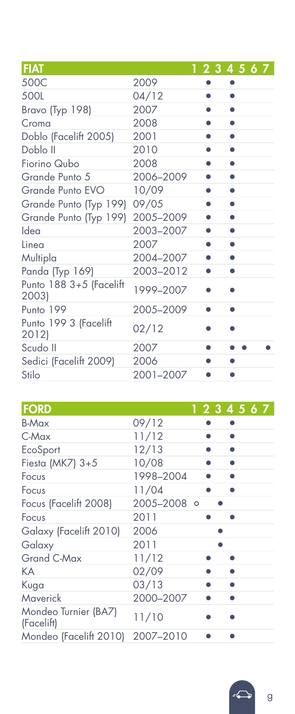| FIAT                             |           | 1234567 |
|----------------------------------|-----------|---------|
| 500C                             | 2009      |         |
| 500L                             | 04/12     |         |
| Bravo (Typ 198)                  | 2007      |         |
| Croma                            | 2008      |         |
| Doblo (Facelift 2005)            | 2001      |         |
| Doblo II                         | 2010      |         |
| Fiorino Qubo                     | 2008      |         |
| Grande Punto 5                   | 2006-2009 |         |
| Grande Punto EVO                 | 10/09     | ٠       |
| Grande Punto (Typ 199)           | 09/05     |         |
| Grande Punto (Typ 199)           | 2005-2009 |         |
| Idea                             | 2003-2007 | ٠       |
| Linea                            | 2007      | ٠       |
| Multipla                         | 2004-2007 |         |
| Panda (Typ 169)                  | 2003-2012 |         |
| Punto 188 3+5 (Facelift<br>2003) | 1999-2007 |         |
| Punto 199                        | 2005-2009 |         |
| Punto 199 3 (Facelift<br>2012)   | 02/12     |         |
| Scudo II                         | 2007      |         |
| Sedici (Facelift 2009)           | 2006      |         |
| Stilo                            | 2001-2007 |         |

| <b>FORD</b>                        |             |  | 1234567 |
|------------------------------------|-------------|--|---------|
| B-Max                              | 09/12       |  |         |
| $C$ -Max                           | 11/12       |  |         |
| EcoSport                           | 12/13       |  |         |
| Fiesta ( $MK7$ ) $3+5$             | 10/08       |  |         |
| Focus                              | 1998-2004   |  |         |
| Focus                              | 11/04       |  |         |
| Focus (Facelift 2008)              | 2005-2008 0 |  |         |
| Focus                              | 2011        |  |         |
| Galaxy (Facelift 2010)             | 2006        |  |         |
| Galaxy                             | 2011        |  |         |
| Grand C-Max                        | 11/12       |  |         |
| КA                                 | 02/09       |  |         |
| Kuga                               | 03/13       |  |         |
| <b>Maverick</b>                    | 2000-2007   |  |         |
| Mondeo Turnier (BA7)<br>(Facelift) | 11/10       |  |         |
| Mondeo (Facelift 2010)             | 2007-2010   |  |         |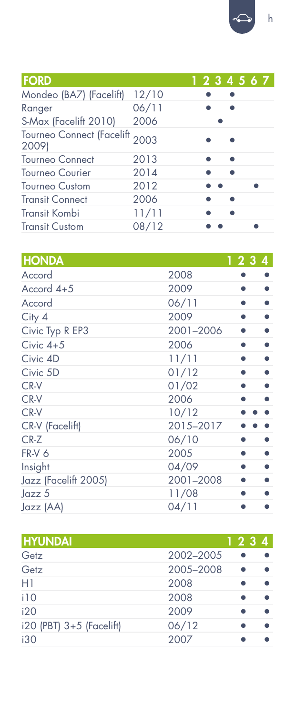| <b>FORD</b>                             |       |  | 1234567 |
|-----------------------------------------|-------|--|---------|
| Mondeo (BA7) (Facelift)                 | 12/10 |  |         |
| Ranger                                  | 06/11 |  |         |
| S-Max (Facelift 2010)                   | 2006  |  |         |
| Tourneo Connect (Facelift 2003<br>2009) |       |  |         |
| <b>Tourneo Connect</b>                  | 2013  |  |         |
| <b>Tourneo Courier</b>                  | 2014  |  |         |
| <b>Tourneo Custom</b>                   | 2012  |  |         |
| <b>Transit Connect</b>                  | 2006  |  |         |
| <b>Transit Kombi</b>                    | 11/11 |  |         |
| <b>Transit Custom</b>                   | 08/12 |  |         |

| <b>HONDA</b>         |           | 1234 |
|----------------------|-----------|------|
| Accord               | 2008      |      |
| Accord 4+5           | 2009      |      |
| Accord               | 06/11     |      |
| City 4               | 2009      | ●    |
| Civic Typ R EP3      | 2001-2006 |      |
| Civic $4+5$          | 2006      | ●    |
| Civic 4D             | 11/11     |      |
| Civic 5D             | 01/12     |      |
| CR-V                 | 01/02     |      |
| CR-V                 | 2006      |      |
| CR-V                 | 10/12     |      |
| CR-V (Facelift)      | 2015-2017 |      |
| $CR-Z$               | 06/10     |      |
| FR-V 6               | 2005      |      |
| Insight              | 04/09     |      |
| Jazz (Facelift 2005) | 2001-2008 |      |
| Jazz 5               | 11/08     |      |
| Jazz (AA)            | 04/11     |      |

| <b>HYUNDAI</b>           |           | 1234 |
|--------------------------|-----------|------|
| Getz                     | 2002-2005 |      |
| Getz                     | 2005-2008 |      |
| H1                       | 2008      |      |
| i10                      | 2008      |      |
| i20                      | 2009      |      |
| i20 (PBT) 3+5 (Facelift) | 06/12     |      |
| i30                      | 2007      |      |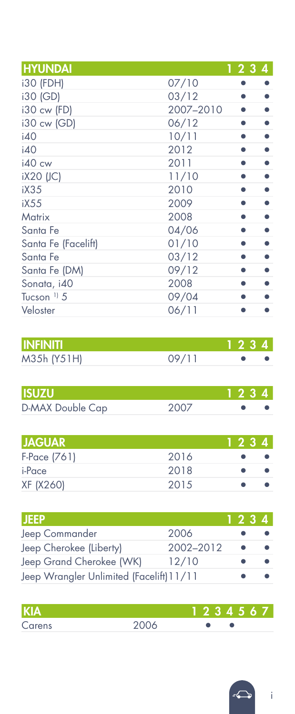| 123<br>$\overline{4}$ |
|-----------------------|
| 07/10                 |
| 03/12                 |
| 2007-2010             |
| 06/12                 |
| 10/11                 |
| 2012                  |
| 2011                  |
| 11/10                 |
| 2010                  |
| 2009                  |
| 2008                  |
| 04/06                 |
| 01/10                 |
| 03/12                 |
| 09/12                 |
| 2008                  |
| 09/04                 |
| 06/11                 |
|                       |

| <b>INFINITI</b> |       | 1234 |  |
|-----------------|-------|------|--|
| M35h (Y51H)     | 09/11 |      |  |

| <b>ISUZU</b>     |      | 1234 |  |
|------------------|------|------|--|
| D-MAX Double Cap | 2007 |      |  |

| <b>JAGUAR</b> |      | 1234 |  |
|---------------|------|------|--|
| F-Pace (761)  | 2016 |      |  |
| i-Pace        | 2018 |      |  |
| XF (X260)     | 2015 |      |  |

| ijeep                                    |           | 1234 |  |
|------------------------------------------|-----------|------|--|
| Jeep Commander                           | 2006      |      |  |
| Jeep Cherokee (Liberty)                  | 2002-2012 |      |  |
| Jeep Grand Cherokee (WK)                 | 12/10     |      |  |
| Jeep Wrangler Unlimited (Facelift) 11/11 |           |      |  |

| <b>KIA</b> |      | 1234567 |  |
|------------|------|---------|--|
| Carens     | 2006 |         |  |

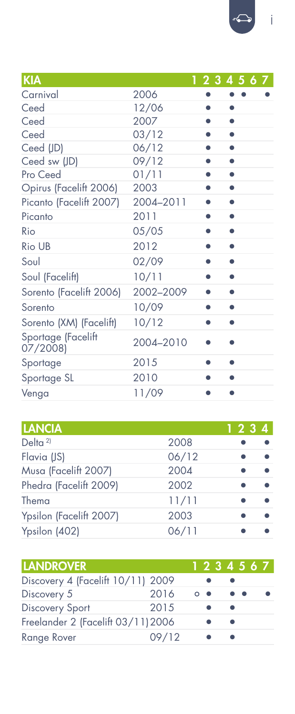| KIA                           |           | 1234567 |
|-------------------------------|-----------|---------|
| Carnival                      | 2006      |         |
| Ceed                          | 12/06     |         |
| Ceed                          | 2007      |         |
| Ceed                          | 03/12     | ٠       |
| Ceed (JD)                     | 06/12     |         |
| Ceed sw (JD)                  | 09/12     |         |
| Pro Ceed                      | 01/11     |         |
| Opirus (Facelift 2006)        | 2003      |         |
| Picanto (Facelift 2007)       | 2004-2011 |         |
| Picanto                       | 2011      |         |
| Rio                           | 05/05     |         |
| Rio UB                        | 2012      | ٠       |
| Soul                          | 02/09     | ۰       |
| Soul (Facelift)               | 10/11     |         |
| Sorento (Facelift 2006)       | 2002-2009 |         |
| Sorento                       | 10/09     |         |
| Sorento (XM) (Facelift)       | 10/12     | ●       |
| Sportage (Facelift<br>07/2008 | 2004-2010 |         |
| Sportage                      | 2015      |         |
| Sportage SL                   | 2010      |         |
| Venga                         | 11/09     |         |

| <b>LANCIA</b>           |       | 1234 |
|-------------------------|-------|------|
| Delta <sup>2)</sup>     | 2008  |      |
| Flavia (JS)             | 06/12 |      |
| Musa (Facelift 2007)    | 2004  |      |
| Phedra (Facelift 2009)  | 2002  |      |
| Thema                   | 11/11 |      |
| Ypsilon (Facelift 2007) | 2003  |      |
| Ypsilon (402)           | 06/11 |      |

| <b>LANDROVER</b>                   |       | 1234567           |   |  |  |
|------------------------------------|-------|-------------------|---|--|--|
| Discovery 4 (Facelift 10/11) 2009  |       |                   |   |  |  |
| Discovery 5                        | 2016  | $\circ$ $\bullet$ |   |  |  |
| <b>Discovery Sport</b>             | 2015  |                   |   |  |  |
| Freelander 2 (Facelift 03/11) 2006 |       |                   | ٠ |  |  |
| Range Rover                        | 09/12 |                   |   |  |  |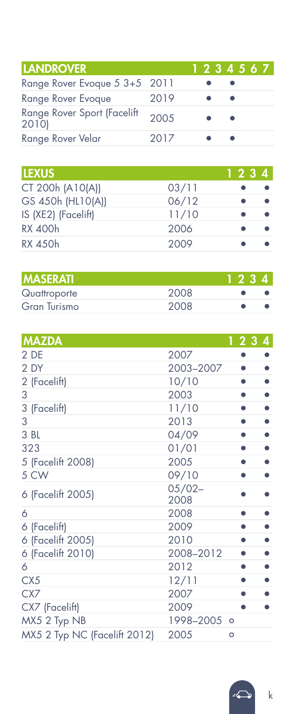| <b>LANDROVER</b>                    |       | 1234567 |
|-------------------------------------|-------|---------|
| Range Rover Evoque 5 3+5 2011       |       |         |
| Range Rover Evoque                  | 2019  | ٠       |
| Range Rover Sport (Facelift<br>2010 | 200.5 | ٠       |
| Range Rover Velar                   | 2017  |         |

| <b>LEXUS</b>        |       | 1234 |  |
|---------------------|-------|------|--|
| CT 200h (A10(A))    | 03/11 |      |  |
| GS 450h (HL10(A))   | 06/12 |      |  |
| IS (XE2) (Facelift) | 11/10 |      |  |
| <b>RX 400h</b>      | 2006  |      |  |
| RX 450h             | 2009  |      |  |

| <b>MASERATI</b>     |      | 1234 |
|---------------------|------|------|
| Quattroporte        | 2008 |      |
| <b>Gran Turismo</b> | 2008 |      |

| <b>MAZDA</b>                 |                   | 2 3 4   |
|------------------------------|-------------------|---------|
| 2 DE                         | 2007              |         |
| 2 DY                         | 2003-2007         |         |
| 2 (Facelift)                 | 10/10             |         |
| 3                            | 2003              |         |
| 3 (Facelift)                 | 11/10             |         |
| 3                            | 2013              |         |
| 3 BL                         | 04/09             |         |
| 323                          | 01/01             |         |
| 5 (Facelift 2008)            | 2005              |         |
| 5 CW                         | 09/10             |         |
| 6 (Facelift 2005)            | $05/02 -$<br>2008 |         |
| 6                            | 2008              |         |
| 6 (Facelift)                 | 2009              |         |
| 6 (Facelift 2005)            | 2010              |         |
| 6 (Facelift 2010)            | 2008-2012         |         |
| 6                            | 2012              |         |
| CX <sub>5</sub>              | 12/11             |         |
| CX7                          | 2007              |         |
| CX7 (Facelift)               | 2009              |         |
| MX5 2 Typ NB                 | 1998-2005 0       |         |
| MX5 2 Typ NC (Facelift 2012) | 2005              | $\circ$ |



k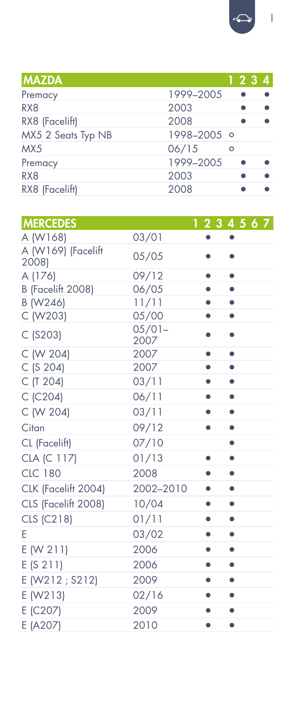$\boxed{\bigoplus}$ 

| <b>MAZDA</b>       |             |         | 1234 |  |
|--------------------|-------------|---------|------|--|
| Premacy            | 1999-2005   |         |      |  |
| RX <sub>8</sub>    | 2003        |         |      |  |
| RX8 (Facelift)     | 2008        |         |      |  |
| MX5 2 Seats Typ NB | 1998-2005 0 |         |      |  |
| MX5                | 06/15       | $\circ$ |      |  |
| Premacy            | 1999-2005   |         |      |  |
| RX <sub>8</sub>    | 2003        |         |      |  |
| RX8 (Facelift)     | 2008        |         |      |  |

| <b>MERCEDES</b>             |                   | 1234567        |  |
|-----------------------------|-------------------|----------------|--|
| A (W168)                    | 03/01             |                |  |
| A (W169) (Facelift<br>2008) | 05/05             |                |  |
| A (176)                     | 09/12             | ۰              |  |
| B (Facelift 2008)           | 06/05             | ۰              |  |
| B (W246)                    | 11/11             | ۰              |  |
| C (W203)                    | 05/00             |                |  |
| $C$ (S203)                  | $05/01 -$<br>2007 | $\bullet$      |  |
| C (W 204)                   | 2007              | ۰<br>$\bullet$ |  |
| C (S 204)                   | 2007              | ۰              |  |
| C (T 204)                   | 03/11             |                |  |
| C (C204)                    | 06/11             | ۰<br>۰         |  |
| C (W 204)                   | 03/11             | ۰              |  |
| Citan                       | 09/12             | ۰              |  |
| CL (Facelift)               | 07/10             | ۰              |  |
| CLA (C 117)                 | 01/13             | ۰<br>۰         |  |
| <b>CLC 180</b>              | 2008              | ۰<br>۰         |  |
| CLK (Facelift 2004)         | 2002-2010         | $\bullet$      |  |
| CLS (Facelift 2008)         | 10/04             | ۰<br>۰         |  |
| CLS (C218)                  | 01/11             | ۰<br>۰         |  |
| E                           | 03/02             | ۰              |  |
| E (W 211)                   | 2006              | ۰              |  |
| E(S 211)                    | 2006              | ۰              |  |
| E (W212 ; S212)             | 2009              | ۰<br>$\bullet$ |  |
| E (W213)                    | 02/16             | ۰<br>۰         |  |
| E (C207)                    | 2009              | $\bullet$<br>۰ |  |
| E (A207)                    | 2010              | ۰<br>۰         |  |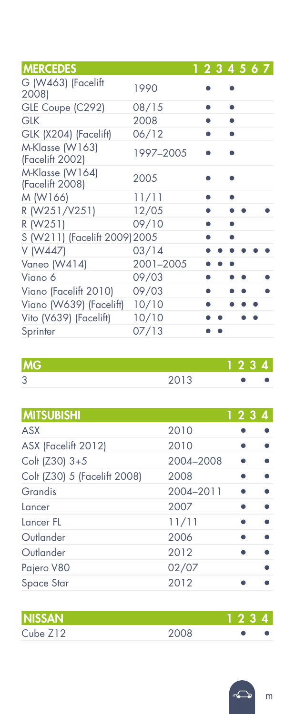| <b>MERCEDES</b>                    |           |  | 1234567 |  |  |
|------------------------------------|-----------|--|---------|--|--|
| G (W463) (Facelift<br>2008)        | 1990      |  |         |  |  |
| GLE Coupe (C292)                   | 08/15     |  |         |  |  |
| <b>GLK</b>                         | 2008      |  |         |  |  |
| GLK (X204) (Facelift)              | 06/12     |  |         |  |  |
| M-Klasse (W163)<br>(Facelift 2002) | 1997-2005 |  |         |  |  |
| M-Klasse (W164)<br>(Facelift 2008) | 2005      |  |         |  |  |
| M (W166)                           | 11/11     |  |         |  |  |
| R (W251/V251)                      | 12/05     |  |         |  |  |
| R (W251)                           | 09/10     |  |         |  |  |
| S (W211) (Facelift 2009) 2005      |           |  |         |  |  |
| V (W447)                           | 03/14     |  |         |  |  |
| Vaneo (W414)                       | 2001-2005 |  |         |  |  |
| Viano 6                            | 09/03     |  |         |  |  |
| Viano (Facelift 2010)              | 09/03     |  |         |  |  |
| Viano (W639) (Facelift)            | 10/10     |  |         |  |  |
| Vito (V639) (Facelift)             | 10/10     |  |         |  |  |
| Sprinter                           | 07/13     |  |         |  |  |

| IMG.   |      |  |
|--------|------|--|
| ↷<br>P | 2013 |  |

| <b>MITSUBISHI</b>            |           | 1234 |
|------------------------------|-----------|------|
| <b>ASX</b>                   | 2010      |      |
| ASX (Facelift 2012)          | 2010      |      |
| Colt (Z30) 3+5               | 2004-2008 |      |
| Colt (Z30) 5 (Facelift 2008) | 2008      |      |
| Grandis                      | 2004-2011 |      |
| Lancer                       | 2007      |      |
| Lancer FL                    | 11/11     |      |
| Outlander                    | 2006      |      |
| Outlander                    | 2012      |      |
| Pajero V80                   | 02/07     |      |
| Space Star                   | 2012      |      |
|                              |           |      |

| <b>NISSAN</b> |      | 1234 |  |
|---------------|------|------|--|
| Cube Z12      | 2008 |      |  |

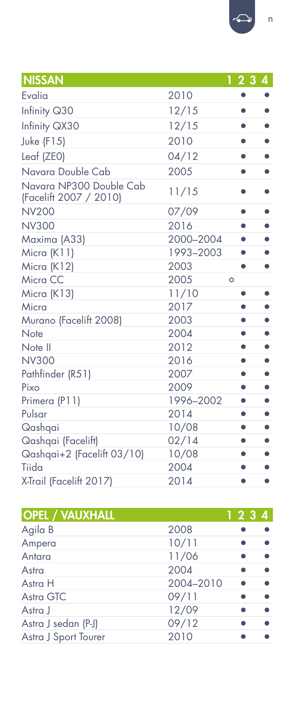| <b>NISSAN</b>                                     |           | 4<br>23                |
|---------------------------------------------------|-----------|------------------------|
| Evalia                                            | 2010      | ۰                      |
| Infinity Q30                                      | 12/15     | ۰                      |
| Infinity QX30                                     | 12/15     | $\bullet$              |
| Juke (F15)                                        | 2010      | ٠                      |
| Leaf (ZEO)                                        | 04/12     | $\bullet$<br>$\bullet$ |
| Navara Double Cab                                 | 2005      | ٠                      |
| Navara NP300 Double Cab<br>(Facelift 2007 / 2010) | 11/15     |                        |
| <b>NV200</b>                                      | 07/09     | ۰                      |
| <b>NV300</b>                                      | 2016      |                        |
| Maxima (A33)                                      | 2000-2004 | ٠                      |
| Micra (K11)                                       | 1993-2003 |                        |
| Micra (K12)                                       | 2003      | $\bullet$<br>$\bullet$ |
| Micra CC                                          | 2005      | $\circ$                |
| Micra (K13)                                       | 11/10     | ۰                      |
| Micra                                             | 2017      | ٠<br>٠                 |
| Murano (Facelift 2008)                            | 2003      | ٠<br>$\bullet$         |
| Note                                              | 2004      | ٠<br>$\bullet$         |
| Note II                                           | 2012      | ●                      |
| <b>NV300</b>                                      | 2016      | ۰<br>$\bullet$         |
| Pathfinder (R51)                                  | 2007      |                        |
| Pixo                                              | 2009      | $\bullet$<br>$\bullet$ |
| Primera (P11)                                     | 1996-2002 | ۰                      |
| Pulsar                                            | 2014      | ۰<br>٠                 |
| Qashqai                                           | 10/08     | $\bullet$<br>$\bullet$ |
| Qashqai (Facelift)                                | 02/14     | ۰<br>$\bullet$         |
| Qashqai+2 (Facelift 03/10)                        | 10/08     | ۰<br>$\bullet$         |
| Tiida                                             | 2004      | ●                      |
| X-Trail (Facelift 2017)                           | 2014      | ٠<br>$\bullet$         |

| <b>OPEL / VAUXHALL</b> |           | 1234 |
|------------------------|-----------|------|
| Agila B                | 2008      |      |
| Ampera                 | 10/11     |      |
| Antara                 | 11/06     |      |
| Astra                  | 2004      |      |
| Astra H                | 2004-2010 |      |
| Astra GTC              | 09/11     |      |
| Astra J                | 12/09     |      |
| Astra J sedan (P-J)    | 09/12     |      |
| Astra J Sport Tourer   | 2010      |      |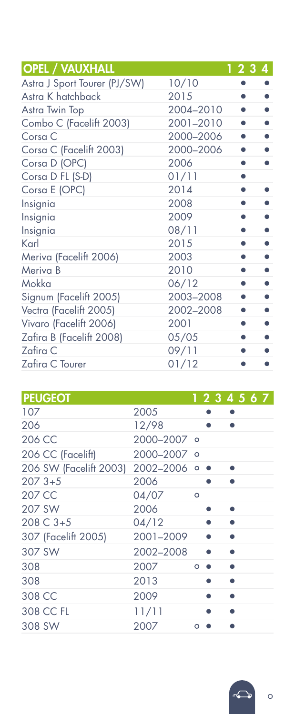| <b>OPEL / VAUXHALL</b>       |           | 1234 |
|------------------------------|-----------|------|
| Astra J Sport Tourer (PJ/SW) | 10/10     |      |
| Astra K hatchback            | 2015      |      |
| Astra Twin Top               | 2004-2010 |      |
| Combo C (Facelift 2003)      | 2001-2010 |      |
| Corsa C                      | 2000-2006 | ٠    |
| Corsa C (Facelift 2003)      | 2000-2006 |      |
| Corsa D (OPC)                | 2006      |      |
| Corsa D FL (S-D)             | 01/11     |      |
| Corsa E (OPC)                | 2014      |      |
| Insignia                     | 2008      |      |
| Insignia                     | 2009      |      |
| Insignia                     | 08/11     |      |
| Karl                         | 2015      |      |
| Meriva (Facelift 2006)       | 2003      |      |
| Meriva B                     | 2010      |      |
| Mokka                        | 06/12     |      |
| Signum (Facelift 2005)       | 2003-2008 |      |
| Vectra (Facelift 2005)       | 2002-2008 |      |
| Vivaro (Facelift 2006)       | 2001      |      |
| Zafira B (Facelift 2008)     | 05/05     |      |
| Zafira C                     | 09/11     |      |
| Zafira C Tourer              | 01/12     |      |

| <b>PEUGEOT</b>                       |             |         |  | 1234567 |  |  |
|--------------------------------------|-------------|---------|--|---------|--|--|
| 107                                  | 2005        |         |  |         |  |  |
| 206                                  | 12/98       |         |  |         |  |  |
| 206 CC                               | 2000-2007 0 |         |  |         |  |  |
| 206 CC (Facelift)                    | 2000-2007 0 |         |  |         |  |  |
| 206 SW (Facelift 2003) 2002-2006 ○ ● |             |         |  |         |  |  |
| $2073+5$                             | 2006        |         |  |         |  |  |
| 207 CC                               | 04/07       | $\circ$ |  |         |  |  |
| 207 SW                               | 2006        |         |  | ۰       |  |  |
| 208 C 3+5                            | 04/12       |         |  |         |  |  |
| 307 (Facelift 2005)                  | 2001-2009   |         |  |         |  |  |
| 307 SW                               | 2002-2008   |         |  |         |  |  |
| 308                                  | 2007        | $\circ$ |  |         |  |  |
| 308                                  | 2013        |         |  |         |  |  |
| 308 CC                               | 2009        |         |  |         |  |  |
| 308 CC FL                            | 11/11       |         |  |         |  |  |
| 308 SW                               | 2007        | $\circ$ |  |         |  |  |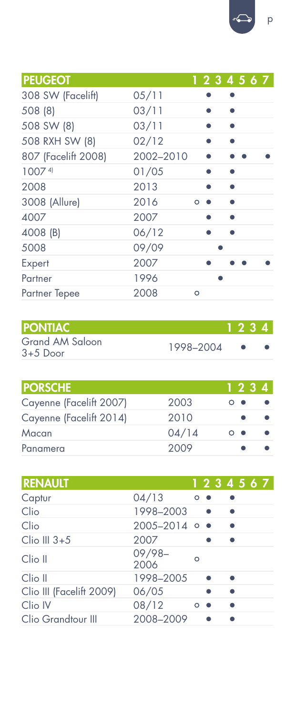| <b>PEUGEOT</b>      |           |         |  |  | 1234567 |
|---------------------|-----------|---------|--|--|---------|
| 308 SW (Facelift)   | 05/11     |         |  |  |         |
| 508 (8)             | 03/11     |         |  |  |         |
| 508 SW (8)          | 03/11     |         |  |  |         |
| 508 RXH SW (8)      | 02/12     |         |  |  |         |
| 807 (Facelift 2008) | 2002-2010 |         |  |  |         |
| 10074               | 01/05     |         |  |  |         |
| 2008                | 2013      |         |  |  |         |
| 3008 (Allure)       | 2016      | $\circ$ |  |  |         |
| 4007                | 2007      |         |  |  |         |
| 4008 (B)            | 06/12     |         |  |  |         |
| 5008                | 09/09     |         |  |  |         |
| Expert              | 2007      |         |  |  |         |
| Partner             | 1996      |         |  |  |         |
| Partner Tepee       | 2008      | $\circ$ |  |  |         |

| <b>PONTIAC</b>                |           | 1234 |  |
|-------------------------------|-----------|------|--|
| Grand AM Saloon<br>$3+5$ Door | 1998-2004 |      |  |

| <b>PORSCHE</b>          |       | 1234       |  |
|-------------------------|-------|------------|--|
| Cayenne (Facelift 2007) | 2003  | - -        |  |
| Cayenne (Facelift 2014) | 2010  |            |  |
| Macan                   | 04/14 | $^{\circ}$ |  |
| Panamera                | 2009  |            |  |

| <b>RENAULT</b>           |                   |         |  |  | 1234567 |
|--------------------------|-------------------|---------|--|--|---------|
| Captur                   | 04/13             | $\circ$ |  |  |         |
| Clio                     | 1998-2003         |         |  |  |         |
| Clio                     | $2005 - 2014$ o • |         |  |  |         |
| $Clio$ III $3+5$         | 2007              |         |  |  |         |
| Clio II                  | $09/98-$<br>2006  | Ω       |  |  |         |
| Clio II                  | 1998-2005         |         |  |  |         |
| Clio III (Facelift 2009) | 06/05             |         |  |  |         |
| Clio IV                  | 08/12             | $\circ$ |  |  |         |
| Clio Grandtour III       | 2008-2009         |         |  |  |         |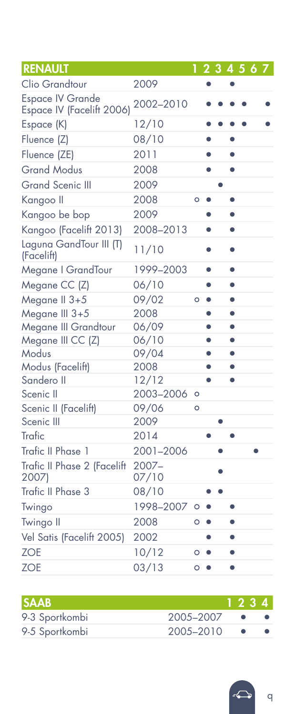| <b>RENAULT</b>                                       |                   |         |           | 234567 |           |  |  |
|------------------------------------------------------|-------------------|---------|-----------|--------|-----------|--|--|
| Clio Grandtour                                       | 2009              |         |           |        |           |  |  |
| <b>Espace IV Grande</b><br>Espace IV (Facelift 2006) | 2002-2010         |         |           |        |           |  |  |
| Espace (K)                                           | 12/10             |         |           |        |           |  |  |
| Fluence (Z)                                          | 08/10             |         |           |        |           |  |  |
| Fluence (ZE)                                         | 2011              |         | $\bullet$ |        | $\bullet$ |  |  |
| <b>Grand Modus</b>                                   | 2008              |         | $\bullet$ |        | $\bullet$ |  |  |
| <b>Grand Scenic III</b>                              | 2009              |         |           |        |           |  |  |
| Kangoo II                                            | 2008              | Ō       |           |        | ٠         |  |  |
| Kangoo be bop                                        | 2009              |         | $\bullet$ |        | $\bullet$ |  |  |
| Kangoo (Facelift 2013)                               | 2008-2013         |         | $\bullet$ |        | $\bullet$ |  |  |
| Laguna GandTour III (T)<br>(Facelift)                | 11/10             |         |           |        |           |  |  |
| Megane   GrandTour                                   | 1999-2003         |         | $\bullet$ |        | $\bullet$ |  |  |
| Megane CC (Z)                                        | 06/10             |         | ٠         |        | $\bullet$ |  |  |
| Megane II 3+5                                        | 09/02             | $\circ$ | $\bullet$ |        | $\bullet$ |  |  |
| Megane III 3+5                                       | 2008              |         | $\bullet$ |        | $\bullet$ |  |  |
| Megane III Grandtour                                 | 06/09             |         | $\bullet$ |        | $\bullet$ |  |  |
| Megane III CC (Z)                                    | 06/10             |         | $\bullet$ |        | $\bullet$ |  |  |
| Modus                                                | 09/04             |         | $\bullet$ |        | $\bullet$ |  |  |
| Modus (Facelift)                                     | 2008              |         | $\bullet$ |        | $\bullet$ |  |  |
| Sandero II                                           | 12/12             |         | $\bullet$ |        | $\bullet$ |  |  |
| Scenic II                                            | 2003-2006         | O       |           |        |           |  |  |
| Scenic II (Facelift)                                 | 09/06             | Ō       |           |        |           |  |  |
| Scenic III                                           | 2009              |         |           | ٠      |           |  |  |
| Trafic                                               | 2014              |         |           |        | ٠         |  |  |
| Trafic II Phase 1                                    | 2001-2006         |         |           |        |           |  |  |
| Trafic II Phase 2 (Facelift<br>2007)                 | $2007 -$<br>07/10 |         |           |        |           |  |  |
| Trafic II Phase 3                                    | 08/10             |         |           |        |           |  |  |
| Twingo                                               | 1998-2007         | $\circ$ |           |        | ٠         |  |  |
| Twingo II                                            | 2008              | $\circ$ | ۰         |        |           |  |  |
| Vel Satis (Facelift 2005)                            | 2002              |         | $\bullet$ |        | $\bullet$ |  |  |
| <b>ZOE</b>                                           | 10/12             | O       | $\bullet$ |        | $\bullet$ |  |  |
| <b>ZOE</b>                                           | 03/13             | $\circ$ | $\bullet$ |        | ۰         |  |  |

| 1234                   |  |
|------------------------|--|
| 2005-2007              |  |
| 2005-2010<br>$\bullet$ |  |
|                        |  |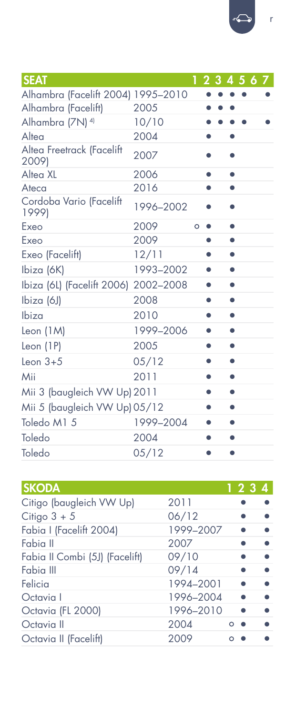| <b>SEAT</b>                          |           |   |           | 2 3 4 5 6 7 |  |  |
|--------------------------------------|-----------|---|-----------|-------------|--|--|
| Alhambra (Facelift 2004) 1995-2010   |           |   |           |             |  |  |
| Alhambra (Facelift)                  | 2005      |   |           |             |  |  |
| Alhambra (7N) <sup>4)</sup>          | 10/10     |   |           |             |  |  |
| Alten                                | 2004      |   | ٠         |             |  |  |
| Altea Freetrack (Facelift<br>2009)   | 2007      |   |           |             |  |  |
| Altea XL                             | 2006      |   | $\bullet$ | $\bullet$   |  |  |
| Ateca                                | 2016      |   | ٠         |             |  |  |
| Cordoba Vario (Facelift<br>1999)     | 1996-2002 |   |           |             |  |  |
| Exeo                                 | 2009      | O |           | $\bullet$   |  |  |
| Exeo                                 | 2009      |   | $\bullet$ | ۰           |  |  |
| Exeo (Facelift)                      | 12/11     |   | ٠         |             |  |  |
| Ibiza (6K)                           | 1993-2002 |   | ٠         |             |  |  |
| Ibiza (6L) (Facelift 2006) 2002-2008 |           |   |           |             |  |  |
| Ibiza (6J)                           | 2008      |   | ٠         |             |  |  |
| Ibiza                                | 2010      |   |           |             |  |  |
| Leon (1M)                            | 1999-2006 |   |           |             |  |  |
| Leon $(1P)$                          | 2005      |   |           |             |  |  |
| Leon $3+5$                           | 05/12     |   |           |             |  |  |
| Mii                                  | 2011      |   |           |             |  |  |
| Mii 3 (baugleich VW Up) 2011         |           |   |           | ۰           |  |  |
| Mii 5 (baugleich VW Up) 05/12        |           |   |           |             |  |  |
| Toledo M1 5                          | 1999-2004 |   |           |             |  |  |
| Toledo                               | 2004      |   |           |             |  |  |
| Toledo                               | 05/12     |   |           |             |  |  |

| <b>SKODA</b>                   |           |   | 1234 |
|--------------------------------|-----------|---|------|
| Citigo (baugleich VW Up)       | 2011      |   |      |
| Citigo $3 + 5$                 | 06/12     |   |      |
| Fabia I (Facelift 2004)        | 1999-2007 |   |      |
| Fabia II                       | 2007      |   |      |
| Fabia II Combi (5J) (Facelift) | 09/10     |   |      |
| Fabia III                      | 09/14     |   |      |
| Felicia                        | 1994-2001 |   |      |
| Octavia I                      | 1996-2004 |   |      |
| Octavia (FL 2000)              | 1996-2010 |   |      |
| Octavia II                     | 2004      | Ο |      |
| Octavia II (Facelift)          | 2009      |   |      |

⇔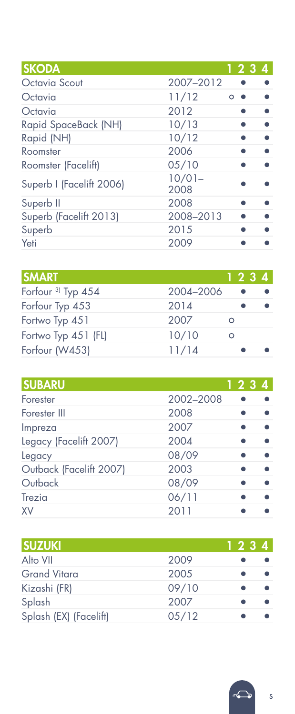| <b>SKODA</b>             |                   |          | 1234 |
|--------------------------|-------------------|----------|------|
| Octavia Scout            | 2007-2012         |          |      |
| Octavia                  | 11/12             | $\Omega$ |      |
| Octavia                  | 2012              |          |      |
| Rapid SpaceBack (NH)     | 10/13             |          |      |
| Rapid (NH)               | 10/12             |          |      |
| Roomster                 | 2006              |          |      |
| Roomster (Facelift)      | 05/10             |          |      |
| Superb I (Facelift 2006) | $10/01 -$<br>2008 |          |      |
| Superb II                | 2008              |          |      |
| Superb (Facelift 2013)   | 2008-2013         |          |      |
| Superb                   | 2015              |          |      |
| Yeti                     | 2009              |          |      |

| <b>SMART</b>                  |           |   | 1234 |  |
|-------------------------------|-----------|---|------|--|
| Forfour <sup>3)</sup> Typ 454 | 2004-2006 |   |      |  |
| Forfour Typ 453               | 2014      |   |      |  |
| Fortwo Typ 451                | 2007      | ∩ |      |  |
| Fortwo Typ 451 (FL)           | 10/10     | Ω |      |  |
| Forfour (W453)                | 11/14     |   |      |  |

| <b>SUBARU</b>           |           |  | 1234 |
|-------------------------|-----------|--|------|
| Forester                | 2002-2008 |  |      |
| Forester III            | 2008      |  |      |
| Impreza                 | 2007      |  |      |
| Legacy (Facelift 2007)  | 2004      |  |      |
| Legacy                  | 08/09     |  |      |
| Outback (Facelift 2007) | 2003      |  |      |
| Outback                 | 08/09     |  |      |
| Trezia                  | 06/11     |  |      |
| <b>XV</b>               | 2011      |  |      |

| <b>SUZUKI</b>          |       | 1234 |  |
|------------------------|-------|------|--|
| Alto VII               | 2009  |      |  |
| <b>Grand Vitara</b>    | 2005  |      |  |
| Kizashi (FR)           | 09/10 |      |  |
| Splash                 | 2007  |      |  |
| Splash (EX) (Facelift) | 05/12 |      |  |

s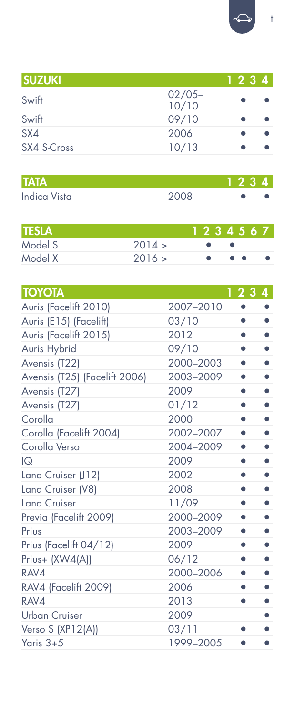$\leftarrow$ 

t

| <b>SUZUKI</b> |                    | 1234 |
|---------------|--------------------|------|
| Swift         | $02/05 -$<br>10/10 |      |
| Swift         | 09/10              |      |
| SX4           | 2006               |      |
| SX4 S-Cross   | 10/13              |      |

| ITATA        |      | 1234 |
|--------------|------|------|
| Indica Vista | 2008 |      |

| <b>TESLA</b> |        | 1234567 |     |  |  |
|--------------|--------|---------|-----|--|--|
| Model S      | 2014 > |         |     |  |  |
| Model X      | 2016 > |         | . . |  |  |

| <b>TOYOTA</b>                 |           | 1234           |
|-------------------------------|-----------|----------------|
| Auris (Facelift 2010)         | 2007-2010 |                |
| Auris (E15) (Facelift)        | 03/10     |                |
| Auris (Facelift 2015)         | 2012      |                |
| Auris Hybrid                  | 09/10     |                |
| Avensis (T22)                 | 2000-2003 | $\bullet$      |
| Avensis (T25) (Facelift 2006) | 2003-2009 |                |
| Avensis (T27)                 | 2009      |                |
| Avensis (T27)                 | 01/12     |                |
| Corolla                       | 2000      |                |
| Corolla (Facelift 2004)       | 2002-2007 | $\bullet$      |
| Corolla Verso                 | 2004-2009 | ٠              |
| IQ                            | 2009      |                |
| Land Cruiser (J12)            | 2002      |                |
| Land Cruiser (V8)             | 2008      | $\bullet$      |
| <b>Land Cruiser</b>           | 11/09     |                |
| Previa (Facelift 2009)        | 2000-2009 |                |
| Prius                         | 2003-2009 | $\bullet$<br>٠ |
| Prius (Facelift 04/12)        | 2009      | ٠              |
| Prius+ (XW4(A))               | 06/12     |                |
| RAV4                          | 2000-2006 | ●              |
| RAV4 (Facelift 2009)          | 2006      |                |
| RAV4                          | 2013      |                |
| Urban Cruiser                 | 2009      |                |
| Verso S (XP12(A))             | 03/11     | $\bullet$      |
| Yaris $3+5$                   | 1999-2005 |                |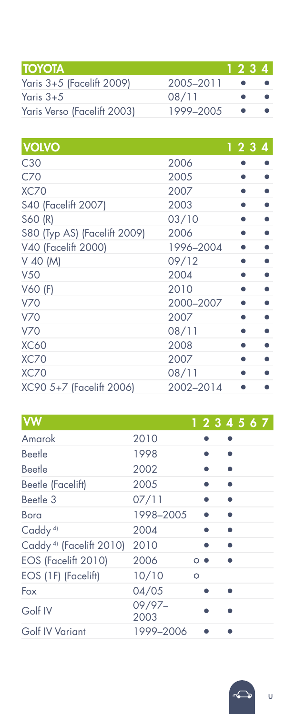| <b>TOYOTA</b>               |           | 1234 |  |
|-----------------------------|-----------|------|--|
| Yaris 3+5 (Facelift 2009)   | 2005-2011 |      |  |
| Yaris 3+5                   | 08/11     |      |  |
| Yaris Verso (Facelift 2003) | 1999-2005 |      |  |

| <b>VOLVO</b>                 |           | 1234 |  |
|------------------------------|-----------|------|--|
| C30                          | 2006      |      |  |
| C70                          | 2005      |      |  |
| XC70                         | 2007      |      |  |
| <b>S40 (Facelift 2007)</b>   | 2003      |      |  |
| S60 (R)                      | 03/10     |      |  |
| S80 (Typ AS) (Facelift 2009) | 2006      |      |  |
| V40 (Facelift 2000)          | 1996-2004 |      |  |
| V 40 (M)                     | 09/12     |      |  |
| <b>V50</b>                   | 2004      |      |  |
| V60 (F)                      | 2010      |      |  |
| <b>V70</b>                   | 2000-2007 |      |  |
| <b>V70</b>                   | 2007      |      |  |
| <b>V70</b>                   | 08/11     |      |  |
| <b>XC60</b>                  | 2008      |      |  |
| <b>XC70</b>                  | 2007      |      |  |
| XC70                         | 08/11     |      |  |
| XC90 5+7 (Facelift 2006)     | 2002-2014 |      |  |

| <b>VW</b>                           |                |         |  | 1234567 |
|-------------------------------------|----------------|---------|--|---------|
| Amarok                              | 2010           |         |  |         |
| Beetle                              | 1998           |         |  |         |
| Beetle                              | 2002           |         |  |         |
| Beetle (Facelift)                   | 2005           |         |  |         |
| Beetle 3                            | 07/11          |         |  |         |
| Bora                                | 1998-2005      |         |  |         |
| Caddy <sup>4)</sup>                 | 2004           |         |  |         |
| Caddy <sup>4)</sup> (Facelift 2010) | 2010           |         |  |         |
| EOS (Facelift 2010)                 | 2006           | $\circ$ |  |         |
| EOS (1F) (Facelift)                 | 10/10          | $\circ$ |  |         |
| Fox                                 | 04/05          |         |  |         |
| Golf IV                             | 09/97-<br>2003 |         |  |         |
| Golf IV Variant                     | 1999-2006      |         |  |         |

U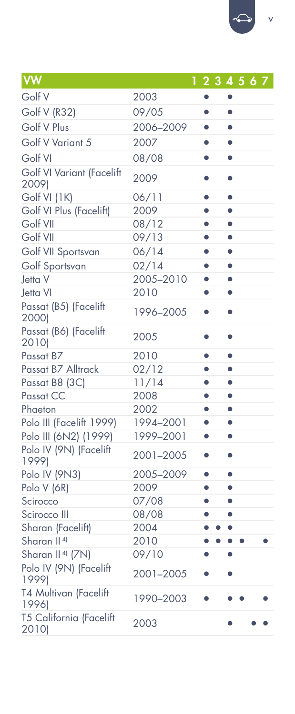| <b>VW</b>                          | 1         | 2 3 4 5 6 7 |           |  |  |
|------------------------------------|-----------|-------------|-----------|--|--|
| Golf V                             | 2003      |             | ۰         |  |  |
| Golf V (R32)                       | 09/05     | $\bullet$   | $\bullet$ |  |  |
| Golf V Plus                        | 2006-2009 |             | $\bullet$ |  |  |
| Golf V Variant 5                   | 2007      |             | $\bullet$ |  |  |
| Golf VI                            | 08/08     |             | $\bullet$ |  |  |
| Golf VI Variant (Facelift<br>2009) | 2009      |             | $\bullet$ |  |  |
| Golf VI (1K)                       | 06/11     | $\bullet$   | $\bullet$ |  |  |
| Golf VI Plus (Facelift)            | 2009      | $\bullet$   | $\bullet$ |  |  |
| Golf VII                           | 08/12     | ٠           | $\bullet$ |  |  |
| Golf VII                           | 09/13     | $\bullet$   | $\bullet$ |  |  |
| Golf VII Sportsvan                 | 06/14     | $\bullet$   | $\bullet$ |  |  |
| Golf Sportsvan                     | 02/14     | $\bullet$   | $\bullet$ |  |  |
| Jetta V                            | 2005-2010 | $\bullet$   | $\bullet$ |  |  |
| Jetta VI                           | 2010      | $\bullet$   | $\bullet$ |  |  |
| Passat (B5) (Facelift<br>2000)     | 1996-2005 | $\bullet$   | $\bullet$ |  |  |
| Passat (B6) (Facelift<br>2010)     | 2005      | 0           | $\bullet$ |  |  |
| Passat B7                          | 2010      | $\bullet$   | $\bullet$ |  |  |
| Passat B7 Alltrack                 | 02/12     | $\bullet$   | $\bullet$ |  |  |
| Passat B8 (3C)                     | 11/14     | $\bullet$   | $\bullet$ |  |  |
| Passat CC                          | 2008      | ō           | $\bullet$ |  |  |
| Phaeton                            | 2002      | $\bullet$   | $\bullet$ |  |  |
| Polo III (Facelift 1999)           | 1994-2001 | $\bullet$   | $\bullet$ |  |  |
| Polo III (6N2) (1999)              | 1999-2001 | $\bullet$   | $\bullet$ |  |  |
| Polo IV (9N) (Facelift<br>1999)    | 2001-2005 | $\bullet$   | $\bullet$ |  |  |
| Polo IV (9N3)                      | 2005-2009 | $\bullet$   | ٠         |  |  |
| Polo V (6R)                        | 2009      | $\bullet$   | $\bullet$ |  |  |
| Scirocco                           | 07/08     | $\bullet$   | $\bullet$ |  |  |
| Scirocco III                       | 08/08     |             | $\bullet$ |  |  |
| Sharan (Facelift)                  | 2004      |             |           |  |  |
| Sharan II <sup>4)</sup>            | 2010      |             |           |  |  |
| Sharan II <sup>4</sup> (7N)        | 09/10     |             | ٠         |  |  |
| Polo IV (9N) (Facelift<br>1999)    | 2001-2005 |             |           |  |  |
| T4 Multivan (Facelift<br>1996)     | 1990-2003 |             |           |  |  |
| T5 California (Facelift<br>2010)   | 2003      |             |           |  |  |

 $\leftarrow$ v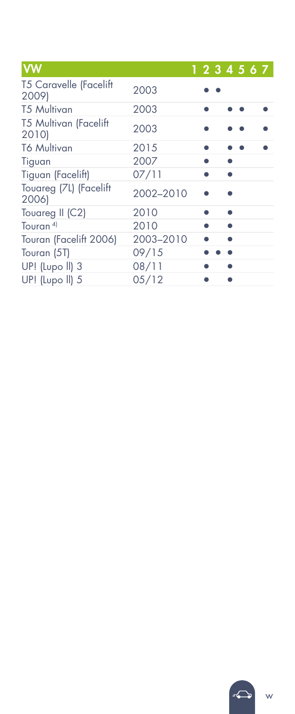| <b>VW</b>                              |           |  |  | 1234567 |
|----------------------------------------|-----------|--|--|---------|
| <b>T5 Caravelle (Facelift</b><br>2009) | 2003      |  |  |         |
| <b>T5 Multivan</b>                     | 2003      |  |  |         |
| T5 Multivan (Facelift<br>2010)         | 2003      |  |  |         |
| <b>T6 Multivan</b>                     | 2015      |  |  |         |
| Tiguan                                 | 2007      |  |  |         |
| Tiguan (Facelift)                      | 07/11     |  |  |         |
| Touareg (7L) (Facelift<br>2006)        | 2002-2010 |  |  |         |
| Touareg II (C2)                        | 2010      |  |  |         |
| Touran <sup>4)</sup>                   | 2010      |  |  |         |
| Touran (Facelift 2006)                 | 2003-2010 |  |  |         |
| Touran (5T)                            | 09/15     |  |  |         |
| UP! (Lupo II) 3                        | 08/11     |  |  |         |
| UP! (Lupo II) 5                        | 05/12     |  |  |         |